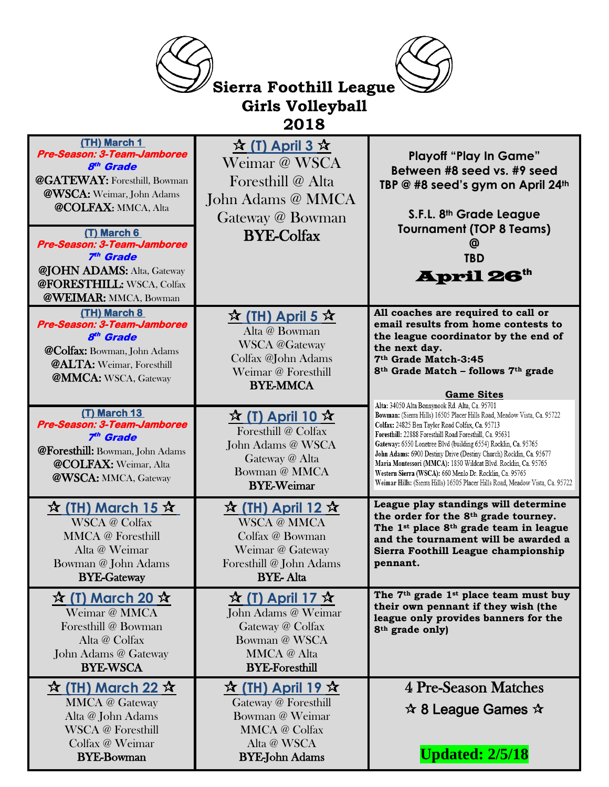| <b>Sierra Foothill League</b>                                                                                                                                                                          |                                                                                                                                                      |                                                                                                                                                                                                                                                                                                                                                                                                                                                                                                                                                                                                                    |  |
|--------------------------------------------------------------------------------------------------------------------------------------------------------------------------------------------------------|------------------------------------------------------------------------------------------------------------------------------------------------------|--------------------------------------------------------------------------------------------------------------------------------------------------------------------------------------------------------------------------------------------------------------------------------------------------------------------------------------------------------------------------------------------------------------------------------------------------------------------------------------------------------------------------------------------------------------------------------------------------------------------|--|
| <b>Girls Volleyball</b>                                                                                                                                                                                |                                                                                                                                                      |                                                                                                                                                                                                                                                                                                                                                                                                                                                                                                                                                                                                                    |  |
| 2018                                                                                                                                                                                                   |                                                                                                                                                      |                                                                                                                                                                                                                                                                                                                                                                                                                                                                                                                                                                                                                    |  |
| (TH) March 1<br>Pre-Season: 3-Team-Jamboree<br>8 <sup>th</sup> Grade<br>@GATEWAY: Foresthill, Bowman<br>@WSCA: Weimar, John Adams<br><b>@COLFAX: MMCA, Alta</b>                                        | $\hat{X}$ (T) April 3 $\hat{X}$<br>Weimar @ WSCA<br>Foresthill @ Alta<br>John Adams @ MMCA                                                           | <b>Playoff "Play In Game"</b><br>Between #8 seed vs. #9 seed<br>TBP @ #8 seed's gym on April 24th                                                                                                                                                                                                                                                                                                                                                                                                                                                                                                                  |  |
| (T) March 6<br>Pre-Season: 3-Team-Jamboree<br>7 <sup>th</sup> Grade<br><b>@JOHN ADAMS:</b> Alta, Gateway<br>@FORESTHILL: WSCA, Colfax                                                                  | Gateway @ Bowman<br><b>BYE-Colfax</b>                                                                                                                | S.F.L. 8th Grade League<br><b>Tournament (TOP 8 Teams)</b><br>@<br><b>TBD</b><br><b>April 26th</b>                                                                                                                                                                                                                                                                                                                                                                                                                                                                                                                 |  |
| <b>@WEIMAR: MMCA, Bowman</b><br>(TH) March 8<br>Pre-Season: 3-Team-Jamboree<br>8 <sup>th</sup> Grade<br><b>@Colfax:</b> Bowman, John Adams<br>@ALTA: Weimar, Foresthill<br><b>@MMCA:</b> WSCA, Gateway | $\frac{1}{2}$ (TH) April 5 $\frac{1}{2}$<br>Alta @ Bowman<br><b>WSCA</b> @Gateway<br>Colfax @John Adams<br>Weimar @ Foresthill<br><b>BYE-MMCA</b>    | All coaches are required to call or<br>email results from home contests to<br>the league coordinator by the end of<br>the next day.<br>7th Grade Match-3:45<br>8 <sup>th</sup> Grade Match - follows 7 <sup>th</sup> grade                                                                                                                                                                                                                                                                                                                                                                                         |  |
| (T) March 13<br>Pre-Season: 3-Team-Jamboree<br>7 <sup>th</sup> Grade<br>@Foresthill: Bowman, John Adams<br><b>@COLFAX:</b> Weimar, Alta<br>@WSCA: MMCA, Gateway                                        | $\frac{1}{2}$ (T) April 10 $\frac{1}{2}$<br>Foresthill @ Colfax<br>John Adams @ WSCA<br>Gateway @ Alta<br>Bowman @ MMCA<br><b>BYE-Weimar</b>         | <b>Game Sites</b><br>Alta: 34050 Alta Bonnynook Rd. Alta, Ca. 95701<br>Bowman: (Sierra Hills) 16505 Placer Hills Road, Meadow Vista, Ca. 95722<br>Colfax: 24825 Ben Taylor Road Colfax, Ca. 95713<br>Foresthill: 22888 Foresthill Road Foresthill. Ca. 95631<br>Gateway: 6550 Lonetree Blvd (building 6554) Rocklin, Ca. 95765<br>John Adams: 6900 Destiny Drive (Destiny Church) Rocklin, Ca. 95677<br>Maria Montessori (MMCA): 1850 Wildcat Blvd. Rocklin, Ca. 95765<br>Western Sierra (WSCA): 660 Menlo Dr. Rocklin, Ca. 95765<br>Weimar Hills: (Sierra Hills) 16505 Placer Hills Road, Meadow Vista, Ca. 95722 |  |
| $\frac{\mathbf{x}}{\mathbf{X}}$ (TH) March 15 $\mathbf{x}$<br><b>WSCA</b> @ Colfax<br><b>MMCA</b> @ Foresthill<br>Alta @ Weimar<br>Bowman @ John Adams<br><b>BYE-Gateway</b>                           | $\frac{1}{2}$ (TH) April 12 $\frac{1}{2}$<br><b>WSCA</b> @ MMCA<br>Colfax @ Bowman<br>Weimar @ Gateway<br>Foresthill @ John Adams<br><b>BYE-Alta</b> | League play standings will determine<br>the order for the 8 <sup>th</sup> grade tourney.<br>The 1 <sup>st</sup> place 8 <sup>th</sup> grade team in league<br>and the tournament will be awarded a<br>Sierra Foothill League championship<br>pennant.                                                                                                                                                                                                                                                                                                                                                              |  |
| $\mathbf{\hat{x}}$ (T) March 20 $\mathbf{\hat{x}}$<br>Weimar @ MMCA<br>Foresthill @ Bowman<br>Alta @ Colfax<br>John Adams @ Gateway<br><b>BYE-WSCA</b>                                                 | $\frac{1}{2}$ (T) April 17 $\frac{1}{2}$<br>John Adams @ Weimar<br>Gateway @ Colfax<br>Bowman @ WSCA<br><b>MMCA</b> @ Alta<br><b>BYE-Foresthill</b>  | The 7 <sup>th</sup> grade 1 <sup>st</sup> place team must buy<br>their own pennant if they wish (the<br>league only provides banners for the<br>8 <sup>th</sup> grade only)                                                                                                                                                                                                                                                                                                                                                                                                                                        |  |
| $\mathbf{\hat{x}}$ (TH) March 22 $\mathbf{\hat{x}}$<br><b>MMCA</b> @ Gateway<br>Alta @ John Adams<br><b>WSCA</b> @ Foresthill<br>Colfax @ Weimar<br><b>BYE-Bowman</b>                                  | $\frac{1}{2}$ (TH) April 19 $\frac{1}{2}$<br>Gateway @ Foresthill<br>Bowman @ Weimar<br><b>MMCA</b> @ Colfax<br>Alta @ WSCA<br><b>BYE-John Adams</b> | 4 Pre-Season Matches<br>$\mathbf{\hat{x}}$ 8 League Games $\mathbf{\hat{x}}$<br><b>Updated: 2/5/18</b>                                                                                                                                                                                                                                                                                                                                                                                                                                                                                                             |  |